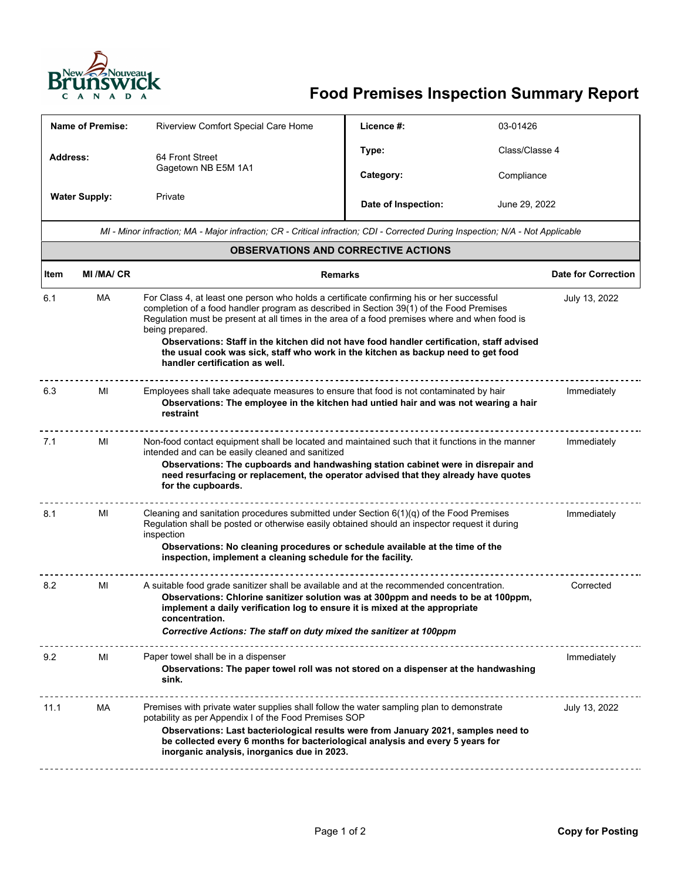

## **Food Premises Inspection Summary Report**

| Name of Premise:                                                                                                                |                                                                                                                                                                                                                                                                                                                                                             | <b>Riverview Comfort Special Care Home</b>                                                                                                                                                                                                                                                                                                                                                                                                                                                                                                    | Licence #:          | 03-01426      |                            |  |
|---------------------------------------------------------------------------------------------------------------------------------|-------------------------------------------------------------------------------------------------------------------------------------------------------------------------------------------------------------------------------------------------------------------------------------------------------------------------------------------------------------|-----------------------------------------------------------------------------------------------------------------------------------------------------------------------------------------------------------------------------------------------------------------------------------------------------------------------------------------------------------------------------------------------------------------------------------------------------------------------------------------------------------------------------------------------|---------------------|---------------|----------------------------|--|
| <b>Address:</b>                                                                                                                 |                                                                                                                                                                                                                                                                                                                                                             | 64 Front Street<br>Gagetown NB E5M 1A1                                                                                                                                                                                                                                                                                                                                                                                                                                                                                                        | Type:               |               | Class/Classe 4             |  |
|                                                                                                                                 |                                                                                                                                                                                                                                                                                                                                                             |                                                                                                                                                                                                                                                                                                                                                                                                                                                                                                                                               | Category:           | Compliance    |                            |  |
| <b>Water Supply:</b>                                                                                                            |                                                                                                                                                                                                                                                                                                                                                             | Private                                                                                                                                                                                                                                                                                                                                                                                                                                                                                                                                       | Date of Inspection: |               | June 29, 2022              |  |
| MI - Minor infraction; MA - Major infraction; CR - Critical infraction; CDI - Corrected During Inspection; N/A - Not Applicable |                                                                                                                                                                                                                                                                                                                                                             |                                                                                                                                                                                                                                                                                                                                                                                                                                                                                                                                               |                     |               |                            |  |
| <b>OBSERVATIONS AND CORRECTIVE ACTIONS</b>                                                                                      |                                                                                                                                                                                                                                                                                                                                                             |                                                                                                                                                                                                                                                                                                                                                                                                                                                                                                                                               |                     |               |                            |  |
| Item                                                                                                                            | <b>MI/MA/CR</b>                                                                                                                                                                                                                                                                                                                                             | <b>Remarks</b>                                                                                                                                                                                                                                                                                                                                                                                                                                                                                                                                |                     |               | <b>Date for Correction</b> |  |
| 6.1                                                                                                                             | MA                                                                                                                                                                                                                                                                                                                                                          | For Class 4, at least one person who holds a certificate confirming his or her successful<br>July 13, 2022<br>completion of a food handler program as described in Section 39(1) of the Food Premises<br>Regulation must be present at all times in the area of a food premises where and when food is<br>being prepared.<br>Observations: Staff in the kitchen did not have food handler certification, staff advised<br>the usual cook was sick, staff who work in the kitchen as backup need to get food<br>handler certification as well. |                     |               |                            |  |
| 6.3                                                                                                                             | MI                                                                                                                                                                                                                                                                                                                                                          | Employees shall take adequate measures to ensure that food is not contaminated by hair<br>Observations: The employee in the kitchen had untied hair and was not wearing a hair<br>restraint                                                                                                                                                                                                                                                                                                                                                   |                     |               | Immediately                |  |
| 7.1                                                                                                                             | MI<br>Non-food contact equipment shall be located and maintained such that it functions in the manner<br>intended and can be easily cleaned and sanitized<br>Observations: The cupboards and handwashing station cabinet were in disrepair and<br>need resurfacing or replacement, the operator advised that they already have quotes<br>for the cupboards. |                                                                                                                                                                                                                                                                                                                                                                                                                                                                                                                                               |                     |               | Immediately                |  |
| 8.1                                                                                                                             | MI                                                                                                                                                                                                                                                                                                                                                          | Cleaning and sanitation procedures submitted under Section $6(1)(q)$ of the Food Premises<br>Regulation shall be posted or otherwise easily obtained should an inspector request it during<br>inspection<br>Observations: No cleaning procedures or schedule available at the time of the<br>inspection, implement a cleaning schedule for the facility.                                                                                                                                                                                      |                     |               | Immediately                |  |
| 8.2                                                                                                                             | MI                                                                                                                                                                                                                                                                                                                                                          | A suitable food grade sanitizer shall be available and at the recommended concentration.<br>Observations: Chlorine sanitizer solution was at 300ppm and needs to be at 100ppm,<br>implement a daily verification log to ensure it is mixed at the appropriate<br>concentration.<br>Corrective Actions: The staff on duty mixed the sanitizer at 100ppm                                                                                                                                                                                        |                     |               | Corrected                  |  |
| 9.2                                                                                                                             | MI                                                                                                                                                                                                                                                                                                                                                          | Paper towel shall be in a dispenser<br>Observations: The paper towel roll was not stored on a dispenser at the handwashing<br>sink.                                                                                                                                                                                                                                                                                                                                                                                                           |                     | Immediately   |                            |  |
| 11.1                                                                                                                            | МA                                                                                                                                                                                                                                                                                                                                                          | Premises with private water supplies shall follow the water sampling plan to demonstrate<br>potability as per Appendix I of the Food Premises SOP<br>Observations: Last bacteriological results were from January 2021, samples need to<br>be collected every 6 months for bacteriological analysis and every 5 years for<br>inorganic analysis, inorganics due in 2023.                                                                                                                                                                      |                     | July 13, 2022 |                            |  |